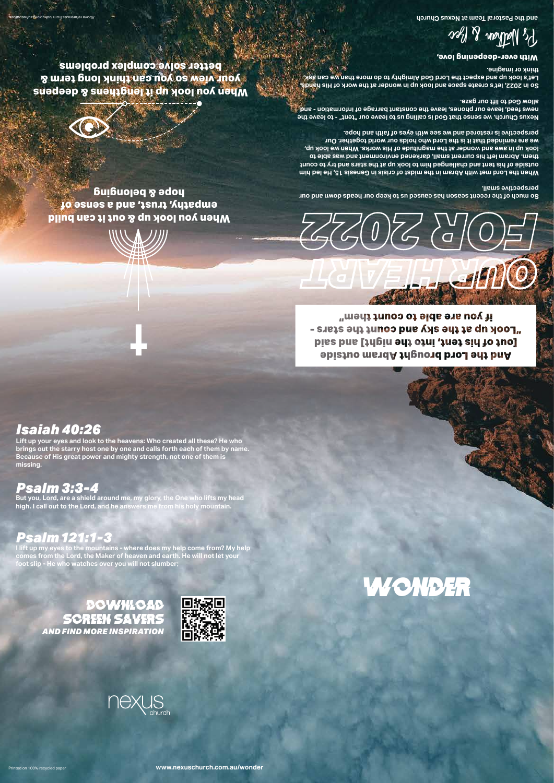t



## WONDER

**With ever-deepening love,**

Ps Nathan & Bec

Above references from the production and the production and the pastor of the Pastor Churchi at New York and the Pastor Churchi at New York and the Pastor Churchi at New York and the Pastor Churchi at New York at New York

La Carl II Co

**So much of the recent season has caused us to keep our heads down and our perspective small.** 

**When the Lord met with Abram in the midst of crisis in Genesis 15, He led him outside of his tent and challenged him to look up at the stars and try to count them. Abram left his current small, darkened environment and was able to**  look np in awe and wonder at the magnitude of His works. When we look up, **we are reminded that it is the Lord who holds our world together. Our perspective is restored and we see with eyes of faith and hope.**

**Nexus Church, we sense that God is calling us to leave our "tent" - to leave the news feed, leave our phones, leave the constant barrage of information - and allow God to lift our gaze.** 

**So in 2022, let's create space and look up in wonder at the work of His hands. Let's look up and expect the Lord God Almighty to do more than we can ask, think or imagine.**









Printed on 100% recycled paper

**Lift up your eyes and look to the heavens: Who created all these? He who brings out the starry host one by one and calls forth each of them by name. Because of His great power and mighty strength, not one of them is missing.** 

### *Isaiah 40:26*

if you are able to count them" "Look up at the sky and count the stars -Tout of his tent, into the night] and said And the Lord brought Abram outside

**But you, Lord, are a shield around me, my glory, the One who lifts my head high. I call out to the Lord, and he answers me from his holy mountain.**

## *Psalm 3:3-4*

**I lift up my eyes to the mountains - where does my help come from? My help comes from the Lord, the Maker of heaven and earth. He will not let your foot slip - He who watches over you will not slumber;**

**www.nexuschurch.com.au/wonder**

### *Psalm 121:1-3*

**When you look up & out it can build empathy, trust, and a sense of hope & belonging**



**When you look up it lengthens & deepens your view so you can think long term & better solve complex problems**